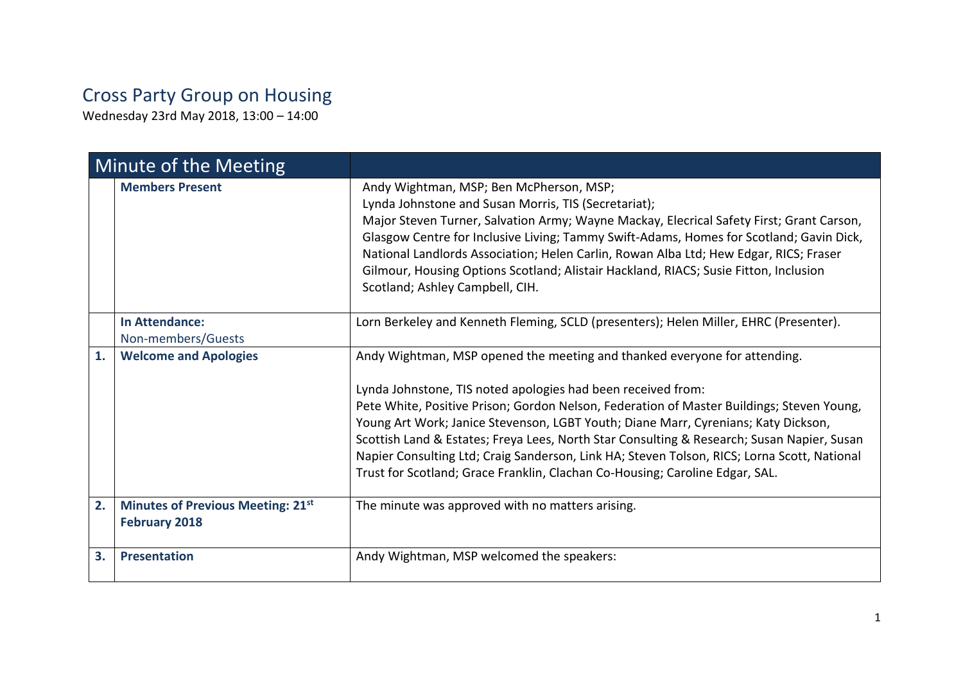## Cross Party Group on Housing

Wednesday 23rd May 2018, 13:00 – 14:00

| Minute of the Meeting |                                                                  |                                                                                                                                                                                                                                                                                                                                                                                                                                                                                                                                                                                                           |
|-----------------------|------------------------------------------------------------------|-----------------------------------------------------------------------------------------------------------------------------------------------------------------------------------------------------------------------------------------------------------------------------------------------------------------------------------------------------------------------------------------------------------------------------------------------------------------------------------------------------------------------------------------------------------------------------------------------------------|
|                       | <b>Members Present</b>                                           | Andy Wightman, MSP; Ben McPherson, MSP;<br>Lynda Johnstone and Susan Morris, TIS (Secretariat);<br>Major Steven Turner, Salvation Army; Wayne Mackay, Elecrical Safety First; Grant Carson,<br>Glasgow Centre for Inclusive Living; Tammy Swift-Adams, Homes for Scotland; Gavin Dick,<br>National Landlords Association; Helen Carlin, Rowan Alba Ltd; Hew Edgar, RICS; Fraser<br>Gilmour, Housing Options Scotland; Alistair Hackland, RIACS; Susie Fitton, Inclusion<br>Scotland; Ashley Campbell, CIH.                                                                                                |
|                       | <b>In Attendance:</b><br>Non-members/Guests                      | Lorn Berkeley and Kenneth Fleming, SCLD (presenters); Helen Miller, EHRC (Presenter).                                                                                                                                                                                                                                                                                                                                                                                                                                                                                                                     |
| 1.                    | <b>Welcome and Apologies</b>                                     | Andy Wightman, MSP opened the meeting and thanked everyone for attending.<br>Lynda Johnstone, TIS noted apologies had been received from:<br>Pete White, Positive Prison; Gordon Nelson, Federation of Master Buildings; Steven Young,<br>Young Art Work; Janice Stevenson, LGBT Youth; Diane Marr, Cyrenians; Katy Dickson,<br>Scottish Land & Estates; Freya Lees, North Star Consulting & Research; Susan Napier, Susan<br>Napier Consulting Ltd; Craig Sanderson, Link HA; Steven Tolson, RICS; Lorna Scott, National<br>Trust for Scotland; Grace Franklin, Clachan Co-Housing; Caroline Edgar, SAL. |
| 2.                    | <b>Minutes of Previous Meeting: 21st</b><br><b>February 2018</b> | The minute was approved with no matters arising.                                                                                                                                                                                                                                                                                                                                                                                                                                                                                                                                                          |
| 3.                    | <b>Presentation</b>                                              | Andy Wightman, MSP welcomed the speakers:                                                                                                                                                                                                                                                                                                                                                                                                                                                                                                                                                                 |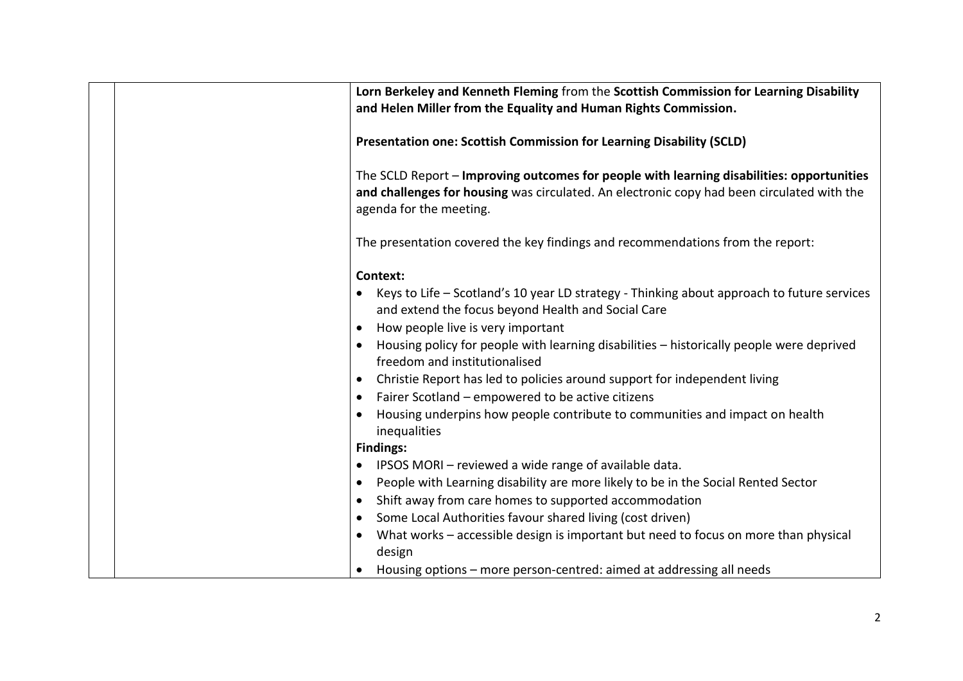|                                                                            | Lorn Berkeley and Kenneth Fleming from the Scottish Commission for Learning Disability<br>and Helen Miller from the Equality and Human Rights Commission.                                                                                                                                                                                                                                                                                                                                                                                                       |
|----------------------------------------------------------------------------|-----------------------------------------------------------------------------------------------------------------------------------------------------------------------------------------------------------------------------------------------------------------------------------------------------------------------------------------------------------------------------------------------------------------------------------------------------------------------------------------------------------------------------------------------------------------|
|                                                                            | Presentation one: Scottish Commission for Learning Disability (SCLD)                                                                                                                                                                                                                                                                                                                                                                                                                                                                                            |
|                                                                            | The SCLD Report - Improving outcomes for people with learning disabilities: opportunities<br>and challenges for housing was circulated. An electronic copy had been circulated with the<br>agenda for the meeting.                                                                                                                                                                                                                                                                                                                                              |
|                                                                            | The presentation covered the key findings and recommendations from the report:                                                                                                                                                                                                                                                                                                                                                                                                                                                                                  |
| $\bullet$<br>$\bullet$<br>$\bullet$<br>$\bullet$<br>$\bullet$<br>$\bullet$ | Context:<br>Keys to Life – Scotland's 10 year LD strategy - Thinking about approach to future services<br>and extend the focus beyond Health and Social Care<br>How people live is very important<br>Housing policy for people with learning disabilities - historically people were deprived<br>freedom and institutionalised<br>Christie Report has led to policies around support for independent living<br>Fairer Scotland – empowered to be active citizens<br>Housing underpins how people contribute to communities and impact on health<br>inequalities |
| $\bullet$<br>$\bullet$<br>$\bullet$<br>٠                                   | <b>Findings:</b><br>IPSOS MORI - reviewed a wide range of available data.<br>People with Learning disability are more likely to be in the Social Rented Sector<br>Shift away from care homes to supported accommodation<br>Some Local Authorities favour shared living (cost driven)                                                                                                                                                                                                                                                                            |
| $\bullet$                                                                  | What works - accessible design is important but need to focus on more than physical<br>design<br>Housing options – more person-centred: aimed at addressing all needs                                                                                                                                                                                                                                                                                                                                                                                           |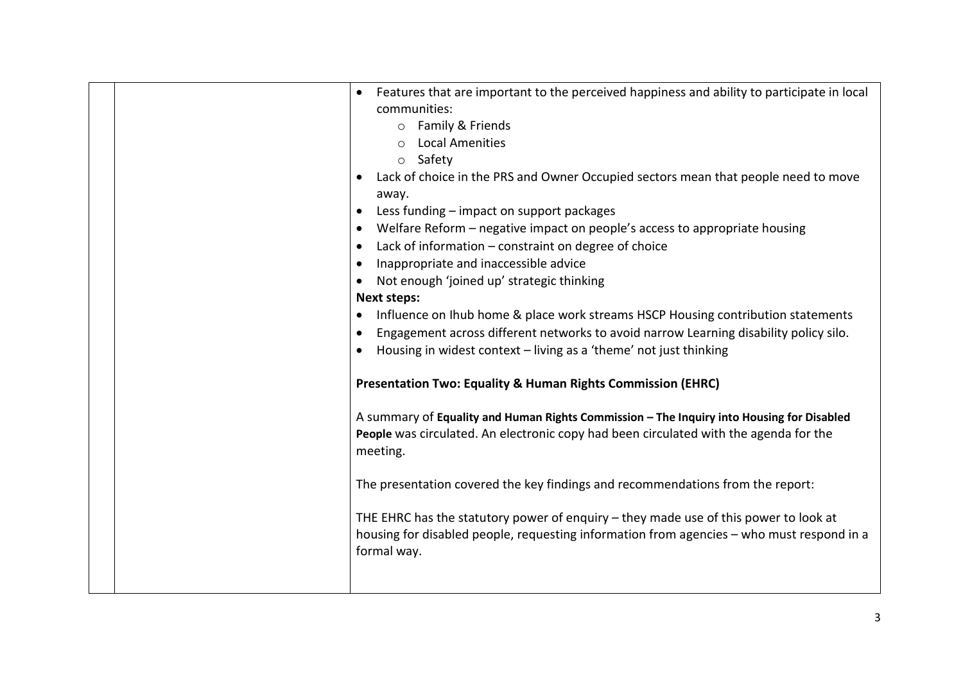| Features that are important to the perceived happiness and ability to participate in local<br>$\bullet$<br>communities:<br>o Family & Friends<br><b>Local Amenities</b><br>$\circ$<br>o Safety<br>Lack of choice in the PRS and Owner Occupied sectors mean that people need to move<br>٠<br>away.<br>Less funding - impact on support packages<br>٠<br>Welfare Reform - negative impact on people's access to appropriate housing<br>$\bullet$<br>Lack of information - constraint on degree of choice<br>$\bullet$<br>Inappropriate and inaccessible advice<br>$\bullet$<br>Not enough 'joined up' strategic thinking<br>$\bullet$<br><b>Next steps:</b><br>Influence on Ihub home & place work streams HSCP Housing contribution statements<br>٠<br>Engagement across different networks to avoid narrow Learning disability policy silo.<br>٠<br>Housing in widest context - living as a 'theme' not just thinking<br>$\bullet$<br><b>Presentation Two: Equality &amp; Human Rights Commission (EHRC)</b><br>A summary of Equality and Human Rights Commission - The Inquiry into Housing for Disabled<br>People was circulated. An electronic copy had been circulated with the agenda for the<br>meeting.<br>The presentation covered the key findings and recommendations from the report:<br>THE EHRC has the statutory power of enquiry - they made use of this power to look at |
|-------------------------------------------------------------------------------------------------------------------------------------------------------------------------------------------------------------------------------------------------------------------------------------------------------------------------------------------------------------------------------------------------------------------------------------------------------------------------------------------------------------------------------------------------------------------------------------------------------------------------------------------------------------------------------------------------------------------------------------------------------------------------------------------------------------------------------------------------------------------------------------------------------------------------------------------------------------------------------------------------------------------------------------------------------------------------------------------------------------------------------------------------------------------------------------------------------------------------------------------------------------------------------------------------------------------------------------------------------------------------------------------|
| housing for disabled people, requesting information from agencies - who must respond in a<br>formal way.                                                                                                                                                                                                                                                                                                                                                                                                                                                                                                                                                                                                                                                                                                                                                                                                                                                                                                                                                                                                                                                                                                                                                                                                                                                                                  |
|                                                                                                                                                                                                                                                                                                                                                                                                                                                                                                                                                                                                                                                                                                                                                                                                                                                                                                                                                                                                                                                                                                                                                                                                                                                                                                                                                                                           |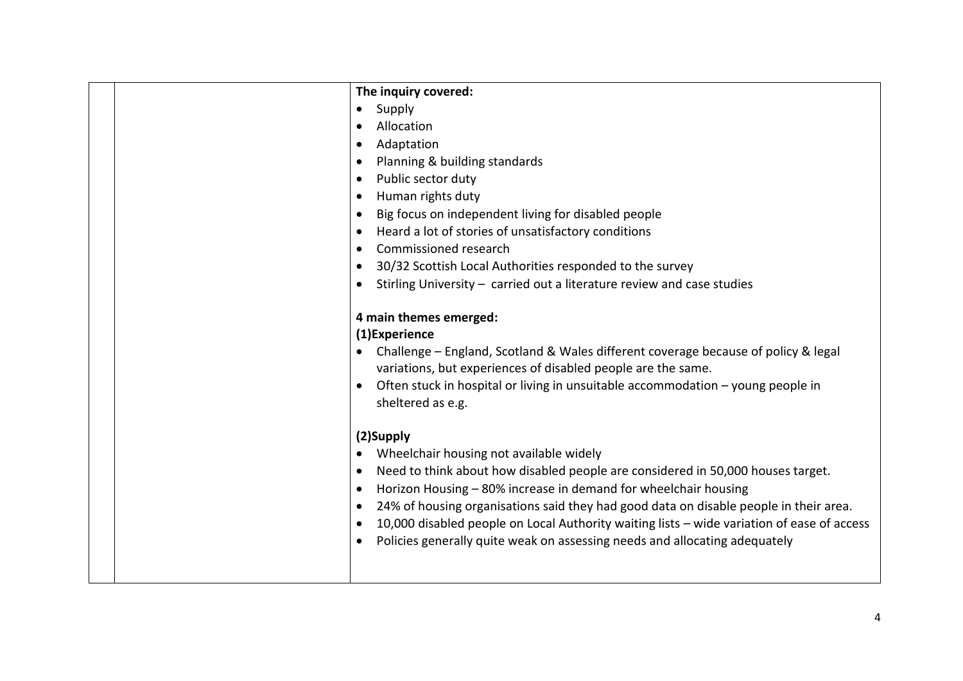| The inquiry covered:                                                                                                                                            |
|-----------------------------------------------------------------------------------------------------------------------------------------------------------------|
| Supply<br>$\bullet$                                                                                                                                             |
| Allocation<br>$\bullet$                                                                                                                                         |
| Adaptation<br>$\bullet$                                                                                                                                         |
| Planning & building standards<br>$\bullet$                                                                                                                      |
| Public sector duty<br>$\bullet$                                                                                                                                 |
| Human rights duty<br>$\bullet$                                                                                                                                  |
| Big focus on independent living for disabled people<br>$\bullet$                                                                                                |
| Heard a lot of stories of unsatisfactory conditions<br>$\bullet$                                                                                                |
| Commissioned research<br>$\bullet$                                                                                                                              |
| 30/32 Scottish Local Authorities responded to the survey<br>$\bullet$                                                                                           |
| Stirling University - carried out a literature review and case studies<br>$\bullet$                                                                             |
|                                                                                                                                                                 |
| 4 main themes emerged:                                                                                                                                          |
| (1)Experience                                                                                                                                                   |
| Challenge – England, Scotland & Wales different coverage because of policy & legal<br>$\bullet$<br>variations, but experiences of disabled people are the same. |
| Often stuck in hospital or living in unsuitable accommodation - young people in<br>$\bullet$<br>sheltered as e.g.                                               |
| (2)Supply                                                                                                                                                       |
| Wheelchair housing not available widely<br>$\bullet$                                                                                                            |
| Need to think about how disabled people are considered in 50,000 houses target.<br>$\bullet$                                                                    |
| Horizon Housing - 80% increase in demand for wheelchair housing<br>$\bullet$                                                                                    |
| 24% of housing organisations said they had good data on disable people in their area.<br>$\bullet$                                                              |
| 10,000 disabled people on Local Authority waiting lists - wide variation of ease of access<br>$\bullet$                                                         |
| Policies generally quite weak on assessing needs and allocating adequately<br>$\bullet$                                                                         |
|                                                                                                                                                                 |
|                                                                                                                                                                 |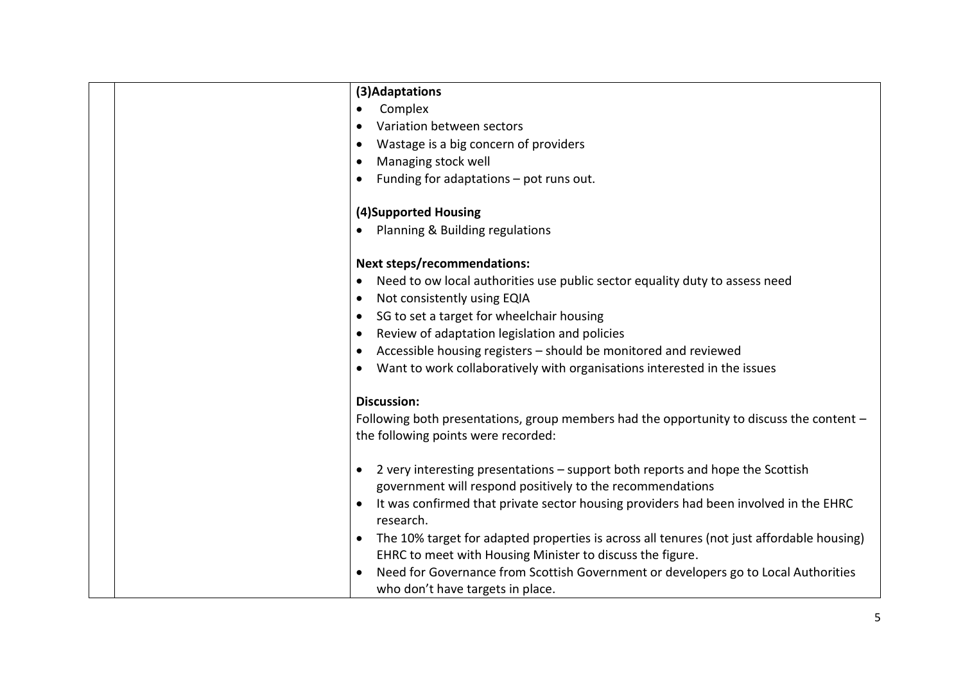| (3) Adaptations                                                                                                                                         |
|---------------------------------------------------------------------------------------------------------------------------------------------------------|
| Complex                                                                                                                                                 |
| Variation between sectors                                                                                                                               |
| Wastage is a big concern of providers<br>$\bullet$                                                                                                      |
| Managing stock well<br>$\bullet$                                                                                                                        |
| Funding for adaptations - pot runs out.                                                                                                                 |
|                                                                                                                                                         |
| (4)Supported Housing                                                                                                                                    |
| Planning & Building regulations<br>$\bullet$                                                                                                            |
|                                                                                                                                                         |
| <b>Next steps/recommendations:</b>                                                                                                                      |
| Need to ow local authorities use public sector equality duty to assess need<br>$\bullet$                                                                |
| Not consistently using EQIA<br>$\bullet$                                                                                                                |
| SG to set a target for wheelchair housing<br>$\bullet$                                                                                                  |
| Review of adaptation legislation and policies<br>$\bullet$                                                                                              |
| Accessible housing registers - should be monitored and reviewed<br>$\bullet$                                                                            |
| Want to work collaboratively with organisations interested in the issues                                                                                |
|                                                                                                                                                         |
| <b>Discussion:</b>                                                                                                                                      |
| Following both presentations, group members had the opportunity to discuss the content -                                                                |
| the following points were recorded:                                                                                                                     |
|                                                                                                                                                         |
| 2 very interesting presentations – support both reports and hope the Scottish<br>$\bullet$<br>government will respond positively to the recommendations |
| It was confirmed that private sector housing providers had been involved in the EHRC                                                                    |
| research.                                                                                                                                               |
| The 10% target for adapted properties is across all tenures (not just affordable housing)                                                               |
| EHRC to meet with Housing Minister to discuss the figure.                                                                                               |
| Need for Governance from Scottish Government or developers go to Local Authorities                                                                      |
| who don't have targets in place.                                                                                                                        |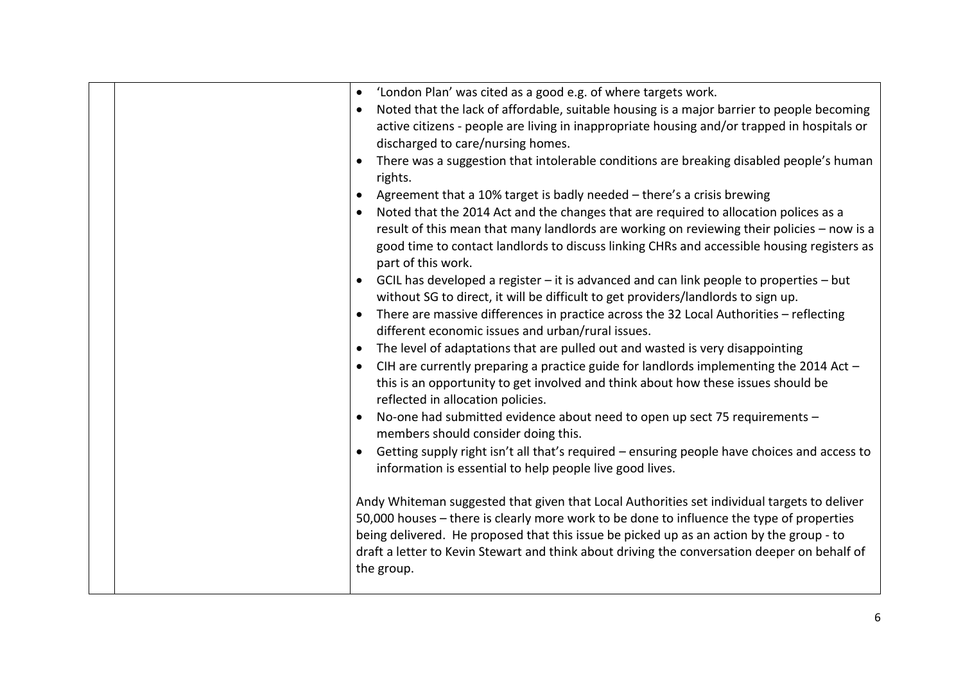|  | 'London Plan' was cited as a good e.g. of where targets work.<br>$\bullet$<br>Noted that the lack of affordable, suitable housing is a major barrier to people becoming<br>$\bullet$<br>active citizens - people are living in inappropriate housing and/or trapped in hospitals or<br>discharged to care/nursing homes.<br>There was a suggestion that intolerable conditions are breaking disabled people's human<br>rights.<br>Agreement that a 10% target is badly needed - there's a crisis brewing<br>Noted that the 2014 Act and the changes that are required to allocation polices as a<br>$\bullet$<br>result of this mean that many landlords are working on reviewing their policies - now is a<br>good time to contact landlords to discuss linking CHRs and accessible housing registers as<br>part of this work.<br>GCIL has developed a register - it is advanced and can link people to properties - but<br>without SG to direct, it will be difficult to get providers/landlords to sign up.<br>There are massive differences in practice across the 32 Local Authorities - reflecting<br>$\bullet$<br>different economic issues and urban/rural issues.<br>The level of adaptations that are pulled out and wasted is very disappointing<br>$\bullet$<br>CIH are currently preparing a practice guide for landlords implementing the 2014 Act -<br>this is an opportunity to get involved and think about how these issues should be<br>reflected in allocation policies.<br>No-one had submitted evidence about need to open up sect 75 requirements -<br>members should consider doing this.<br>Getting supply right isn't all that's required - ensuring people have choices and access to<br>information is essential to help people live good lives.<br>Andy Whiteman suggested that given that Local Authorities set individual targets to deliver<br>50,000 houses - there is clearly more work to be done to influence the type of properties |
|--|--------------------------------------------------------------------------------------------------------------------------------------------------------------------------------------------------------------------------------------------------------------------------------------------------------------------------------------------------------------------------------------------------------------------------------------------------------------------------------------------------------------------------------------------------------------------------------------------------------------------------------------------------------------------------------------------------------------------------------------------------------------------------------------------------------------------------------------------------------------------------------------------------------------------------------------------------------------------------------------------------------------------------------------------------------------------------------------------------------------------------------------------------------------------------------------------------------------------------------------------------------------------------------------------------------------------------------------------------------------------------------------------------------------------------------------------------------------------------------------------------------------------------------------------------------------------------------------------------------------------------------------------------------------------------------------------------------------------------------------------------------------------------------------------------------------------------------------------------------------------------------------------------------------------------------------------------------------------------|
|  | being delivered. He proposed that this issue be picked up as an action by the group - to<br>draft a letter to Kevin Stewart and think about driving the conversation deeper on behalf of<br>the group.                                                                                                                                                                                                                                                                                                                                                                                                                                                                                                                                                                                                                                                                                                                                                                                                                                                                                                                                                                                                                                                                                                                                                                                                                                                                                                                                                                                                                                                                                                                                                                                                                                                                                                                                                                   |